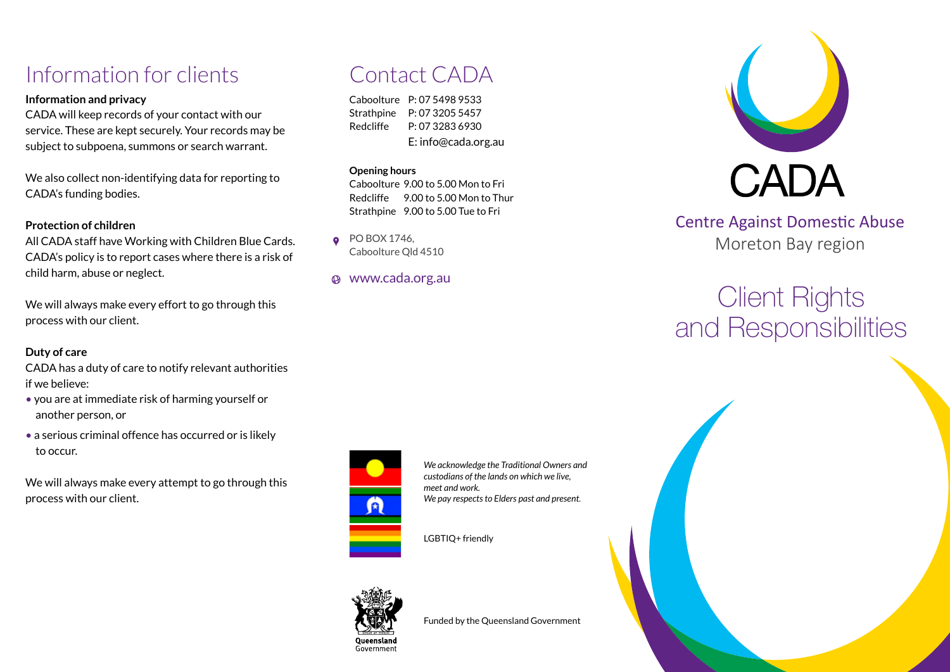## Information for clients

### **Information and privacy**

CADA will keep records of your contact with our service. These are kept securely. Your records may be subject to subpoena, summons or search warrant.

We also collect non-identifying data for reporting to CADA's funding bodies.

### **Protection of children**

All CADA staff have Working with Children Blue Cards. CADA's policy is to report cases where there is a risk of child harm, abuse or neglect.

We will always make every effort to go through this process with our client.

### **Duty of care**

CADA has a duty of care to notify relevant authorities if we believe:

- you are at immediate risk of harming yourself or another person, or
- a serious criminal offence has occurred or is likely to occur.

We will always make every attempt to go through this process with our client.

## Contact CADA

Caboolture P: 07 5498 9533 Strathpine P: 07 3205 5457 Redcliffe P: 07 3283 6930 E: info@cada.org.au

#### **Opening hours**

Caboolture 9.00 to 5.00 Mon to Fri Redcliffe 9.00 to 5.00 Mon to Thur Strathpine 9.00 to 5.00 Tue to Fri

PO BOX 1746,  $\bullet$ Caboolture Qld 4510

www.cada.org.au



*We acknowledge the Traditional Owners and custodians of the lands on which we live, meet and work. We pay respects to Elders past and present.* 

LGBTIQ+ friendly



Funded by the Queensland Government



### Centre Against Domestic Abuse Moreton Bay region

# Client Rights and Responsibilities